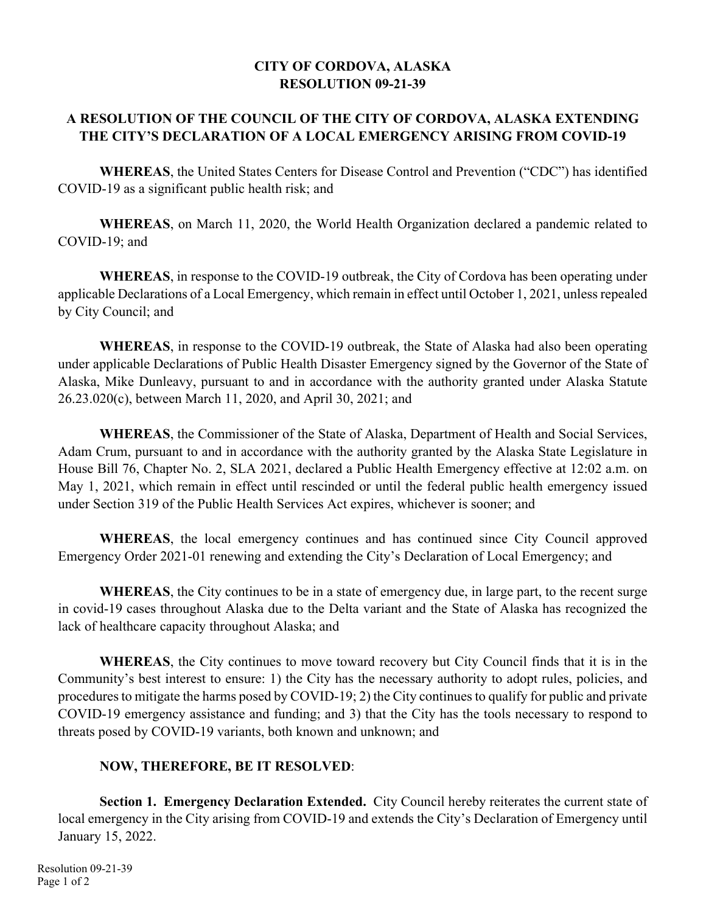## **CITY OF CORDOVA, ALASKA RESOLUTION 09-21-39**

## **A RESOLUTION OF THE COUNCIL OF THE CITY OF CORDOVA, ALASKA EXTENDING THE CITY'S DECLARATION OF A LOCAL EMERGENCY ARISING FROM COVID-19**

 **WHEREAS**, the United States Centers for Disease Control and Prevention ("CDC") has identified COVID-19 as a significant public health risk; and

**WHEREAS**, on March 11, 2020, the World Health Organization declared a pandemic related to COVID-19; and

**WHEREAS**, in response to the COVID-19 outbreak, the City of Cordova has been operating under applicable Declarations of a Local Emergency, which remain in effect until October 1, 2021, unless repealed by City Council; and

**WHEREAS**, in response to the COVID-19 outbreak, the State of Alaska had also been operating under applicable Declarations of Public Health Disaster Emergency signed by the Governor of the State of Alaska, Mike Dunleavy, pursuant to and in accordance with the authority granted under Alaska Statute 26.23.020(c), between March 11, 2020, and April 30, 2021; and

**WHEREAS**, the Commissioner of the State of Alaska, Department of Health and Social Services, Adam Crum, pursuant to and in accordance with the authority granted by the Alaska State Legislature in House Bill 76, Chapter No. 2, SLA 2021, declared a Public Health Emergency effective at 12:02 a.m. on May 1, 2021, which remain in effect until rescinded or until the federal public health emergency issued under Section 319 of the Public Health Services Act expires, whichever is sooner; and

**WHEREAS**, the local emergency continues and has continued since City Council approved Emergency Order 2021-01 renewing and extending the City's Declaration of Local Emergency; and

**WHEREAS**, the City continues to be in a state of emergency due, in large part, to the recent surge in covid-19 cases throughout Alaska due to the Delta variant and the State of Alaska has recognized the lack of healthcare capacity throughout Alaska; and

**WHEREAS**, the City continues to move toward recovery but City Council finds that it is in the Community's best interest to ensure: 1) the City has the necessary authority to adopt rules, policies, and procedures to mitigate the harms posed by COVID-19; 2) the City continues to qualify for public and private COVID-19 emergency assistance and funding; and 3) that the City has the tools necessary to respond to threats posed by COVID-19 variants, both known and unknown; and

## **NOW, THEREFORE, BE IT RESOLVED**:

 **Section 1. Emergency Declaration Extended.** City Council hereby reiterates the current state of local emergency in the City arising from COVID-19 and extends the City's Declaration of Emergency until January 15, 2022.